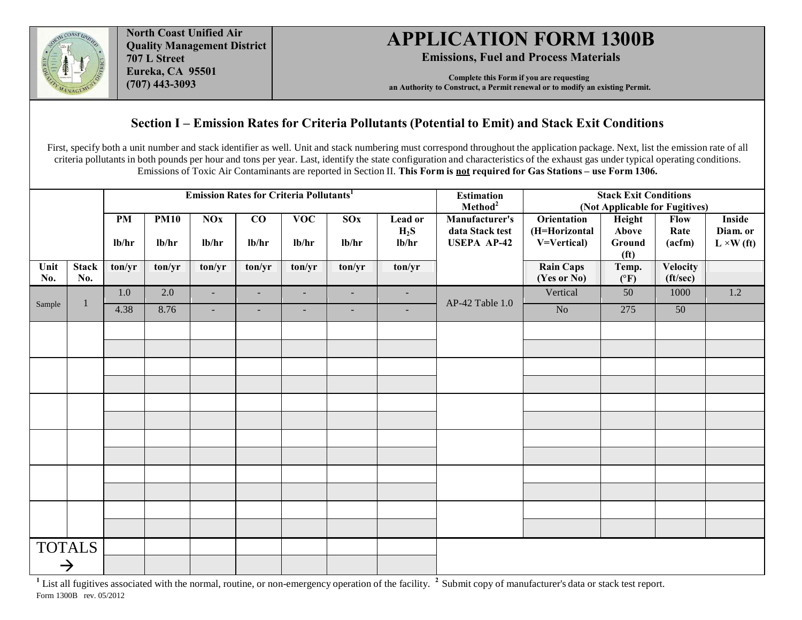

**North Coast Unified Air Quality Management District 707 L Street Eureka, CA 95501 (707) 443-3093**

## **APPLICATION FORM 1300B**

**Emissions, Fuel and Process Materials**

**Complete this Form if you are requesting an Authority to Construct, a Permit renewal or to modify an existing Permit.** 

## **Section I – Emission Rates for Criteria Pollutants (Potential to Emit) and Stack Exit Conditions**

First, specify both a unit number and stack identifier as well. Unit and stack numbering must correspond throughout the application package. Next, list the emission rate of all criteria pollutants in both pounds per hour and tons per year. Last, identify the state configuration and characteristics of the exhaust gas under typical operating conditions. Emissions of Toxic Air Contaminants are reported in Section II. **This Form is not required for Gas Stations – use Form 1306.**

|               |                     | <b>Emission Rates for Criteria Pollutants</b> |                      |                     |                |                          |                          | <b>Estimation</b><br><b>Stack Exit Conditions</b><br>Method <sup>2</sup><br>(Not Applicable for Fugitives) |                                                         |                                             |                                                |                               |                                         |
|---------------|---------------------|-----------------------------------------------|----------------------|---------------------|----------------|--------------------------|--------------------------|------------------------------------------------------------------------------------------------------------|---------------------------------------------------------|---------------------------------------------|------------------------------------------------|-------------------------------|-----------------------------------------|
|               |                     | <b>PM</b><br>lb/hr                            | <b>PM10</b><br>lb/hr | <b>NOx</b><br>lb/hr | CO<br>lb/hr    | <b>VOC</b><br>lb/hr      | S(x)<br>lb/hr            | Lead or<br>$H_2S$<br>lb/hr                                                                                 | Manufacturer's<br>data Stack test<br><b>USEPA AP-42</b> | Orientation<br>(H=Horizontal<br>V=Vertical) | Height<br>Above<br>Ground<br>(f <sup>t</sup> ) | <b>Flow</b><br>Rate<br>(acfm) | Inside<br>Diam. or<br>$L \times W$ (ft) |
| Unit<br>No.   | <b>Stack</b><br>No. | ton/yr                                        | ton/yr               | ton/yr              | ton/yr         | ton/yr                   | ton/yr                   | ton/yr                                                                                                     |                                                         | <b>Rain Caps</b><br>(Yes or No)             | Temp.<br>$(^{\circ}F)$                         | <b>Velocity</b><br>(ft/sec)   |                                         |
|               |                     | $1.0\,$                                       | 2.0                  | $\sim$              | $\blacksquare$ | $\blacksquare$           | $\overline{\phantom{a}}$ | $\overline{\phantom{a}}$                                                                                   |                                                         | Vertical                                    | 50                                             | 1000                          | 1.2                                     |
| Sample        | 1                   | 4.38                                          | 8.76                 | $\sim$              | $\sim$         | $\overline{\phantom{a}}$ | $\overline{\phantom{a}}$ | $\blacksquare$                                                                                             | AP-42 Table 1.0                                         | No                                          | 275                                            | 50                            |                                         |
|               |                     |                                               |                      |                     |                |                          |                          |                                                                                                            |                                                         |                                             |                                                |                               |                                         |
|               |                     |                                               |                      |                     |                |                          |                          |                                                                                                            |                                                         |                                             |                                                |                               |                                         |
|               |                     |                                               |                      |                     |                |                          |                          |                                                                                                            |                                                         |                                             |                                                |                               |                                         |
|               |                     |                                               |                      |                     |                |                          |                          |                                                                                                            |                                                         |                                             |                                                |                               |                                         |
|               |                     |                                               |                      |                     |                |                          |                          |                                                                                                            |                                                         |                                             |                                                |                               |                                         |
|               |                     |                                               |                      |                     |                |                          |                          |                                                                                                            |                                                         |                                             |                                                |                               |                                         |
|               |                     |                                               |                      |                     |                |                          |                          |                                                                                                            |                                                         |                                             |                                                |                               |                                         |
|               |                     |                                               |                      |                     |                |                          |                          |                                                                                                            |                                                         |                                             |                                                |                               |                                         |
|               |                     |                                               |                      |                     |                |                          |                          |                                                                                                            |                                                         |                                             |                                                |                               |                                         |
|               |                     |                                               |                      |                     |                |                          |                          |                                                                                                            |                                                         |                                             |                                                |                               |                                         |
|               |                     |                                               |                      |                     |                |                          |                          |                                                                                                            |                                                         |                                             |                                                |                               |                                         |
|               |                     |                                               |                      |                     |                |                          |                          |                                                                                                            |                                                         |                                             |                                                |                               |                                         |
|               | <b>TOTALS</b>       |                                               |                      |                     |                |                          |                          |                                                                                                            |                                                         |                                             |                                                |                               |                                         |
| $\rightarrow$ |                     |                                               |                      |                     |                |                          |                          |                                                                                                            |                                                         |                                             |                                                |                               |                                         |

<sup>1</sup>List all fugitives associated with the normal, routine, or non-emergency operation of the facility. <sup>2</sup> Submit copy of manufacturer's data or stack test report. Form 1300B rev. 05/2012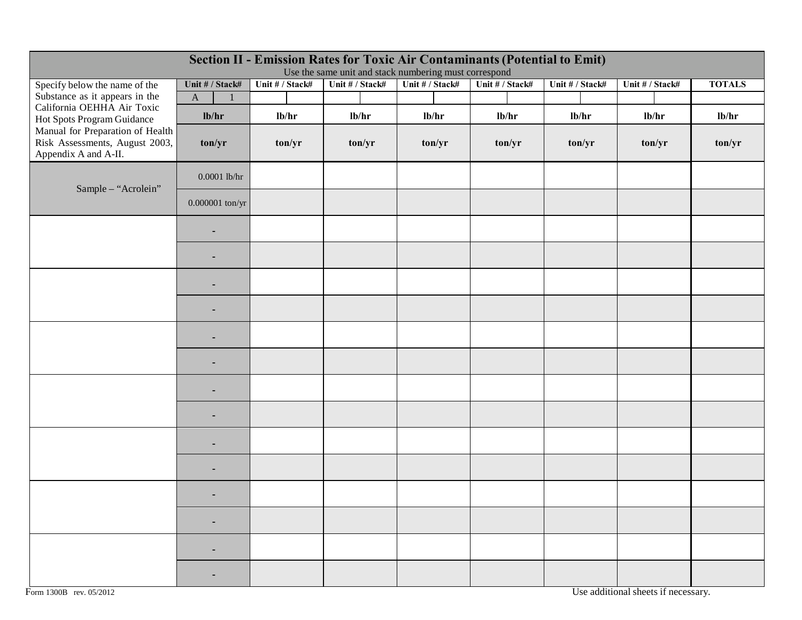|                                                                                            |                             |                 | Use the same unit and stack numbering must correspond |                 | <b>Section II - Emission Rates for Toxic Air Contaminants (Potential to Emit)</b> |                 |                 |               |
|--------------------------------------------------------------------------------------------|-----------------------------|-----------------|-------------------------------------------------------|-----------------|-----------------------------------------------------------------------------------|-----------------|-----------------|---------------|
| Specify below the name of the                                                              | Unit # / Stack#             | Unit # / Stack# | Unit # / Stack#                                       | Unit # / Stack# | Unit # / Stack#                                                                   | Unit # / Stack# | Unit # / Stack# | <b>TOTALS</b> |
| Substance as it appears in the                                                             | $\mathbf A$<br>$\mathbf{1}$ |                 |                                                       |                 |                                                                                   |                 |                 |               |
| California OEHHA Air Toxic<br>Hot Spots Program Guidance                                   | lb/hr                       | lb/hr           | lb/hr                                                 | lb/hr           | lb/hr                                                                             | lb/hr           | lb/hr           | lb/hr         |
| Manual for Preparation of Health<br>Risk Assessments, August 2003,<br>Appendix A and A-II. | ton/yr                      | ton/yr          | ton/yr                                                | ton/yr          | ton/yr                                                                            | ton/yr          | ton/yr          | ton/yr        |
| Sample - "Acrolein"                                                                        | $0.0001$ lb/hr              |                 |                                                       |                 |                                                                                   |                 |                 |               |
|                                                                                            | $0.000001$ ton/yr           |                 |                                                       |                 |                                                                                   |                 |                 |               |
|                                                                                            | ٠                           |                 |                                                       |                 |                                                                                   |                 |                 |               |
|                                                                                            |                             |                 |                                                       |                 |                                                                                   |                 |                 |               |
|                                                                                            |                             |                 |                                                       |                 |                                                                                   |                 |                 |               |
|                                                                                            |                             |                 |                                                       |                 |                                                                                   |                 |                 |               |
|                                                                                            | -                           |                 |                                                       |                 |                                                                                   |                 |                 |               |
|                                                                                            | -                           |                 |                                                       |                 |                                                                                   |                 |                 |               |
|                                                                                            | $\overline{\phantom{a}}$    |                 |                                                       |                 |                                                                                   |                 |                 |               |
|                                                                                            | ۰                           |                 |                                                       |                 |                                                                                   |                 |                 |               |
|                                                                                            | -                           |                 |                                                       |                 |                                                                                   |                 |                 |               |
|                                                                                            |                             |                 |                                                       |                 |                                                                                   |                 |                 |               |
|                                                                                            |                             |                 |                                                       |                 |                                                                                   |                 |                 |               |
|                                                                                            |                             |                 |                                                       |                 |                                                                                   |                 |                 |               |
|                                                                                            |                             |                 |                                                       |                 |                                                                                   |                 |                 |               |
|                                                                                            |                             |                 |                                                       |                 |                                                                                   |                 |                 |               |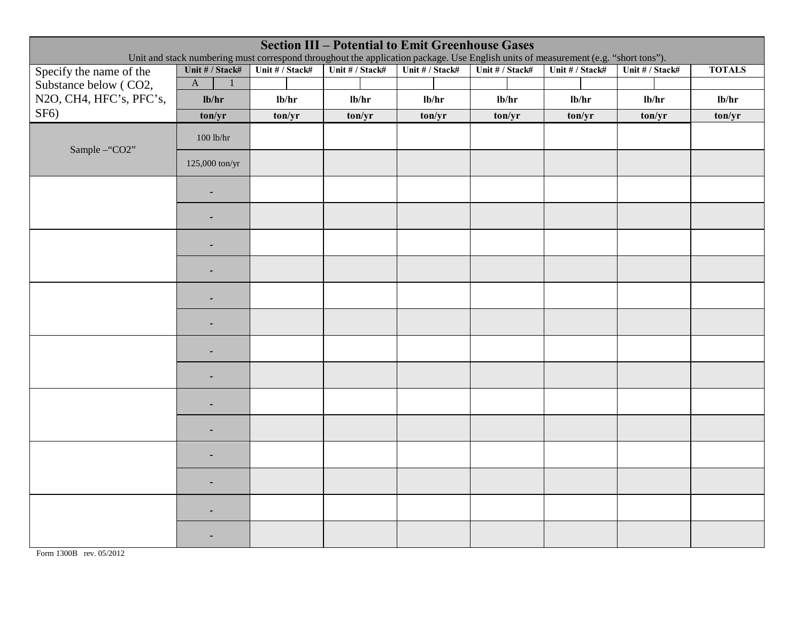| <b>Section III - Potential to Emit Greenhouse Gases</b><br>Unit and stack numbering must correspond throughout the application package. Use English units of measurement (e.g. "short tons"). |                              |                 |                 |                 |                 |                 |                 |               |
|-----------------------------------------------------------------------------------------------------------------------------------------------------------------------------------------------|------------------------------|-----------------|-----------------|-----------------|-----------------|-----------------|-----------------|---------------|
| Specify the name of the                                                                                                                                                                       | Unit # / Stack#              | Unit # / Stack# | Unit # / Stack# | Unit # / Stack# | Unit # / Stack# | Unit # / Stack# | Unit # / Stack# | <b>TOTALS</b> |
| Substance below (CO2,                                                                                                                                                                         | $\mathbf{A}$<br>$\mathbf{1}$ |                 |                 |                 |                 |                 |                 |               |
| N2O, CH4, HFC's, PFC's,                                                                                                                                                                       | lb/hr                        | lb/hr           | lb/hr           | lb/hr           | lb/hr           | lb/hr           | lb/hr           | lb/hr         |
| $SF6$ )                                                                                                                                                                                       | ton/yr                       | ton/yr          | ton/yr          | ton/yr          | ton/yr          | ton/yr          | ton/yr          | ton/yr        |
| Sample-"CO2"                                                                                                                                                                                  | $100$ lb/hr                  |                 |                 |                 |                 |                 |                 |               |
|                                                                                                                                                                                               | 125,000 ton/yr               |                 |                 |                 |                 |                 |                 |               |
|                                                                                                                                                                                               | $\blacksquare$               |                 |                 |                 |                 |                 |                 |               |
|                                                                                                                                                                                               |                              |                 |                 |                 |                 |                 |                 |               |
|                                                                                                                                                                                               | $\overline{\phantom{a}}$     |                 |                 |                 |                 |                 |                 |               |
|                                                                                                                                                                                               | $\overline{\phantom{a}}$     |                 |                 |                 |                 |                 |                 |               |
|                                                                                                                                                                                               | $\overline{\phantom{a}}$     |                 |                 |                 |                 |                 |                 |               |
|                                                                                                                                                                                               |                              |                 |                 |                 |                 |                 |                 |               |
|                                                                                                                                                                                               |                              |                 |                 |                 |                 |                 |                 |               |
|                                                                                                                                                                                               |                              |                 |                 |                 |                 |                 |                 |               |
|                                                                                                                                                                                               |                              |                 |                 |                 |                 |                 |                 |               |
|                                                                                                                                                                                               |                              |                 |                 |                 |                 |                 |                 |               |
|                                                                                                                                                                                               |                              |                 |                 |                 |                 |                 |                 |               |
|                                                                                                                                                                                               |                              |                 |                 |                 |                 |                 |                 |               |
|                                                                                                                                                                                               |                              |                 |                 |                 |                 |                 |                 |               |
|                                                                                                                                                                                               |                              |                 |                 |                 |                 |                 |                 |               |

Form 1300B rev. 05/2012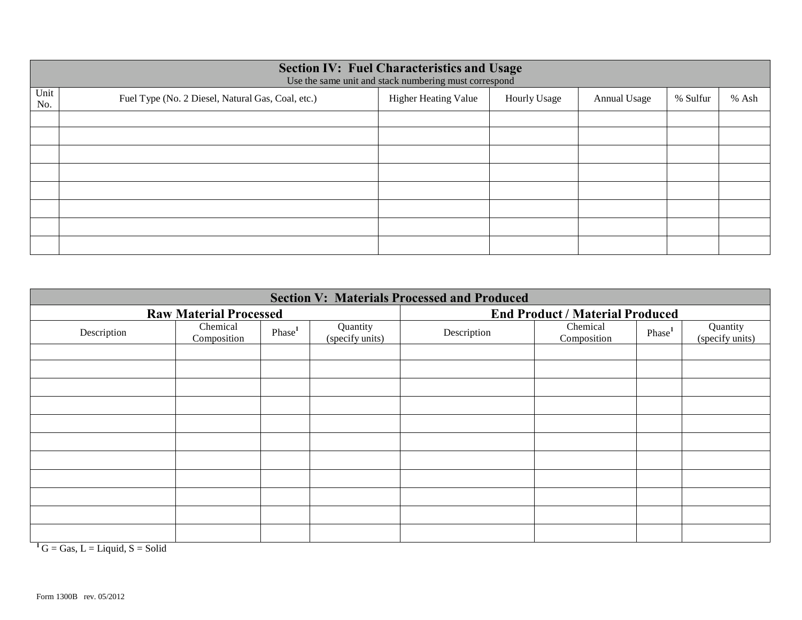|             | <b>Section IV: Fuel Characteristics and Usage</b><br>Use the same unit and stack numbering must correspond |                             |                     |              |          |       |  |  |  |  |  |
|-------------|------------------------------------------------------------------------------------------------------------|-----------------------------|---------------------|--------------|----------|-------|--|--|--|--|--|
| Unit<br>No. | Fuel Type (No. 2 Diesel, Natural Gas, Coal, etc.)                                                          | <b>Higher Heating Value</b> | <b>Hourly Usage</b> | Annual Usage | % Sulfur | % Ash |  |  |  |  |  |
|             |                                                                                                            |                             |                     |              |          |       |  |  |  |  |  |
|             |                                                                                                            |                             |                     |              |          |       |  |  |  |  |  |
|             |                                                                                                            |                             |                     |              |          |       |  |  |  |  |  |
|             |                                                                                                            |                             |                     |              |          |       |  |  |  |  |  |
|             |                                                                                                            |                             |                     |              |          |       |  |  |  |  |  |
|             |                                                                                                            |                             |                     |              |          |       |  |  |  |  |  |
|             |                                                                                                            |                             |                     |              |          |       |  |  |  |  |  |
|             |                                                                                                            |                             |                     |              |          |       |  |  |  |  |  |

| <b>Section V: Materials Processed and Produced</b> |                               |                    |                             |                                        |                         |                    |                             |  |  |
|----------------------------------------------------|-------------------------------|--------------------|-----------------------------|----------------------------------------|-------------------------|--------------------|-----------------------------|--|--|
|                                                    | <b>Raw Material Processed</b> |                    |                             | <b>End Product / Material Produced</b> |                         |                    |                             |  |  |
| Description                                        | Chemical<br>Composition       | Phase <sup>1</sup> | Quantity<br>(specify units) | Description                            | Chemical<br>Composition | Phase <sup>1</sup> | Quantity<br>(specify units) |  |  |
|                                                    |                               |                    |                             |                                        |                         |                    |                             |  |  |
|                                                    |                               |                    |                             |                                        |                         |                    |                             |  |  |
|                                                    |                               |                    |                             |                                        |                         |                    |                             |  |  |
|                                                    |                               |                    |                             |                                        |                         |                    |                             |  |  |
|                                                    |                               |                    |                             |                                        |                         |                    |                             |  |  |
|                                                    |                               |                    |                             |                                        |                         |                    |                             |  |  |
|                                                    |                               |                    |                             |                                        |                         |                    |                             |  |  |
|                                                    |                               |                    |                             |                                        |                         |                    |                             |  |  |
|                                                    |                               |                    |                             |                                        |                         |                    |                             |  |  |
|                                                    |                               |                    |                             |                                        |                         |                    |                             |  |  |
|                                                    |                               |                    |                             |                                        |                         |                    |                             |  |  |

 $1^1$ G = Gas, L = Liquid, S = Solid